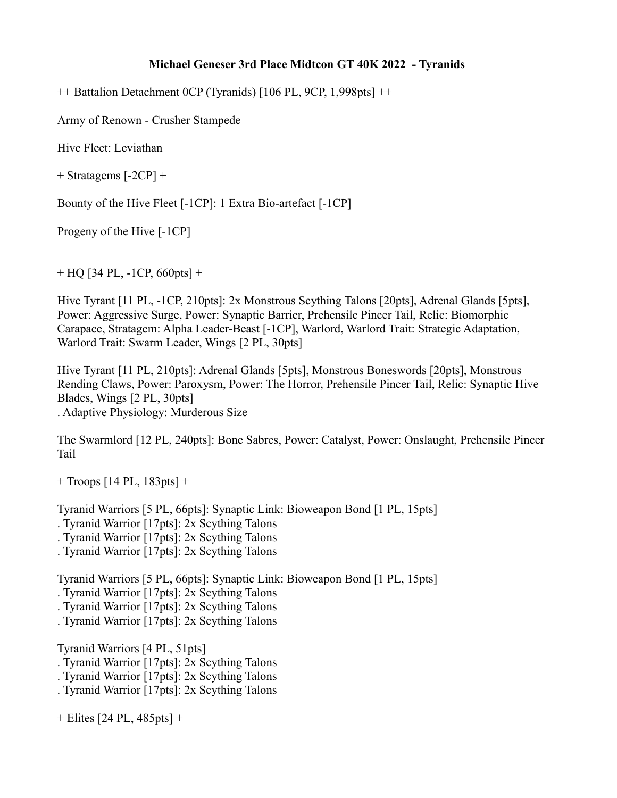## **Michael Geneser 3rd Place Midtcon GT 40K 2022 - Tyranids**

++ Battalion Detachment 0CP (Tyranids) [106 PL, 9CP, 1,998pts] ++

Army of Renown - Crusher Stampede

Hive Fleet: Leviathan

+ Stratagems [-2CP] +

Bounty of the Hive Fleet [-1CP]: 1 Extra Bio-artefact [-1CP]

Progeny of the Hive [-1CP]

 $+$  HQ [34 PL, -1CP, 660pts] +

Hive Tyrant [11 PL, -1CP, 210pts]: 2x Monstrous Scything Talons [20pts], Adrenal Glands [5pts], Power: Aggressive Surge, Power: Synaptic Barrier, Prehensile Pincer Tail, Relic: Biomorphic Carapace, Stratagem: Alpha Leader-Beast [-1CP], Warlord, Warlord Trait: Strategic Adaptation, Warlord Trait: Swarm Leader, Wings [2 PL, 30pts]

Hive Tyrant [11 PL, 210pts]: Adrenal Glands [5pts], Monstrous Boneswords [20pts], Monstrous Rending Claws, Power: Paroxysm, Power: The Horror, Prehensile Pincer Tail, Relic: Synaptic Hive Blades, Wings [2 PL, 30pts] . Adaptive Physiology: Murderous Size

The Swarmlord [12 PL, 240pts]: Bone Sabres, Power: Catalyst, Power: Onslaught, Prehensile Pincer Tail

+ Troops [14 PL, 183pts] +

Tyranid Warriors [5 PL, 66pts]: Synaptic Link: Bioweapon Bond [1 PL, 15pts]

- . Tyranid Warrior [17pts]: 2x Scything Talons
- . Tyranid Warrior [17pts]: 2x Scything Talons
- . Tyranid Warrior [17pts]: 2x Scything Talons

Tyranid Warriors [5 PL, 66pts]: Synaptic Link: Bioweapon Bond [1 PL, 15pts]

- . Tyranid Warrior [17pts]: 2x Scything Talons
- . Tyranid Warrior [17pts]: 2x Scything Talons
- . Tyranid Warrior [17pts]: 2x Scything Talons

Tyranid Warriors [4 PL, 51pts]

- . Tyranid Warrior [17pts]: 2x Scything Talons
- . Tyranid Warrior [17pts]: 2x Scything Talons
- . Tyranid Warrior [17pts]: 2x Scything Talons

+ Elites [24 PL, 485pts] +